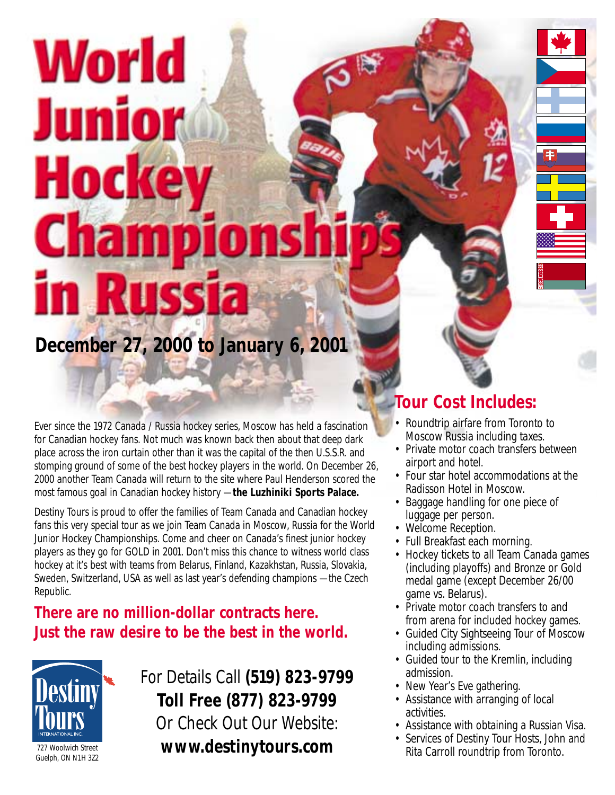# World Junior Hocke **Champions** in Russia **December 27, 2000 to January 6, 2001**

Ever since the 1972 Canada / Russia hockey series, Moscow has held a fascination for Canadian hockey fans. Not much was known back then about that deep dark place across the iron curtain other than it was the capital of the then U.S.S.R. and stomping ground of some of the best hockey players in the world. On December 26, 2000 another Team Canada will return to the site where Paul Henderson scored the most famous goal in Canadian hockey history — **the Luzhiniki Sports Palace.**

Destiny Tours is proud to offer the families of Team Canada and Canadian hockey fans this very special tour as we join Team Canada in Moscow, Russia for the World Junior Hockey Championships. Come and cheer on Canada's finest junior hockey players as they go for GOLD in 2001. Don't miss this chance to witness world class hockey at it's best with teams from Belarus, Finland, Kazakhstan, Russia, Slovakia, Sweden, Switzerland, USA as well as last year's defending champions — the Czech Republic.

### **There are no million-dollar contracts here. Just the raw desire to be the best in the world.**



## For Details Call **(519) 823-9799 Toll Free (877) 823-9799** Or Check Out Our Website: 727 Woolwich Street **www.destinytours.com**

### **Tour Cost Includes:**

- Roundtrip airfare from Toronto to Moscow Russia including taxes.
- Private motor coach transfers between airport and hotel.
- Four star hotel accommodations at the Radisson Hotel in Moscow.
- Baggage handling for one piece of luggage per person.
- Welcome Reception.
- Full Breakfast each morning.
- Hockey tickets to all Team Canada games (including playoffs) and Bronze or Gold medal game (except December 26/00 game vs. Belarus).
- Private motor coach transfers to and from arena for included hockey games.
- Guided City Sightseeing Tour of Moscow including admissions.
- Guided tour to the Kremlin, including admission.
- New Year's Eve gathering.
- Assistance with arranging of local activities.
- Assistance with obtaining a Russian Visa.
- Services of Destiny Tour Hosts, John and Rita Carroll roundtrip from Toronto.